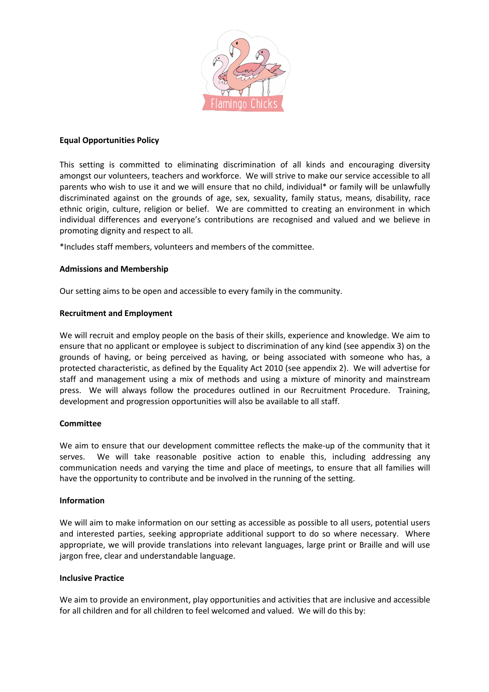

## **Equal Opportunities Policy**

This setting is committed to eliminating discrimination of all kinds and encouraging diversity amongst our volunteers, teachers and workforce. We will strive to make our service accessible to all parents who wish to use it and we will ensure that no child, individual\* or family will be unlawfully discriminated against on the grounds of age, sex, sexuality, family status, means, disability, race ethnic origin, culture, religion or belief. We are committed to creating an environment in which individual differences and everyone's contributions are recognised and valued and we believe in promoting dignity and respect to all.

\*Includes staff members, volunteers and members of the committee.

# **Admissions and Membership**

Our setting aims to be open and accessible to every family in the community.

# **Recruitment and Employment**

We will recruit and employ people on the basis of their skills, experience and knowledge. We aim to ensure that no applicant or employee is subject to discrimination of any kind (see appendix 3) on the grounds of having, or being perceived as having, or being associated with someone who has, a protected characteristic, as defined by the Equality Act 2010 (see appendix 2). We will advertise for staff and management using a mix of methods and using a mixture of minority and mainstream press. We will always follow the procedures outlined in our Recruitment Procedure. Training, development and progression opportunities will also be available to all staff.

## **Committee**

We aim to ensure that our development committee reflects the make-up of the community that it serves. We will take reasonable positive action to enable this, including addressing any communication needs and varying the time and place of meetings, to ensure that all families will have the opportunity to contribute and be involved in the running of the setting.

## **Information**

We will aim to make information on our setting as accessible as possible to all users, potential users and interested parties, seeking appropriate additional support to do so where necessary. Where appropriate, we will provide translations into relevant languages, large print or Braille and will use jargon free, clear and understandable language.

## **Inclusive Practice**

We aim to provide an environment, play opportunities and activities that are inclusive and accessible for all children and for all children to feel welcomed and valued. We will do this by: